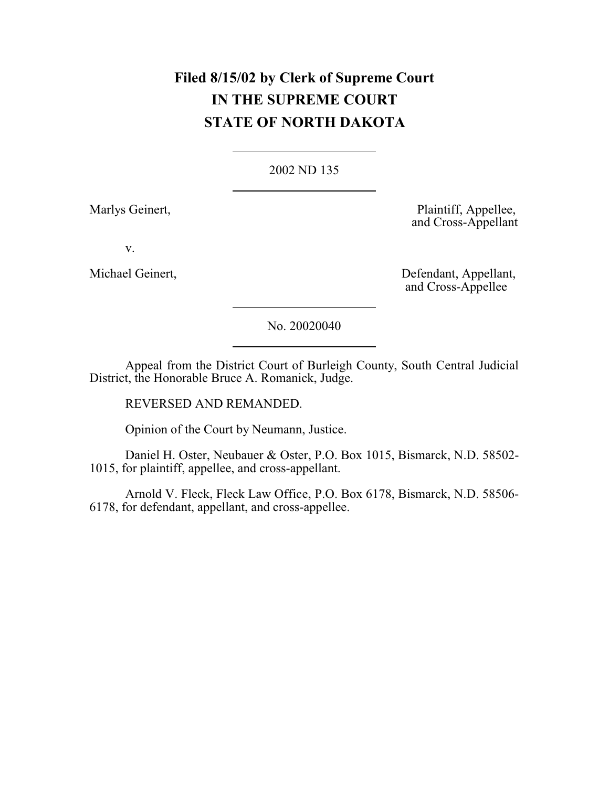# **Filed 8/15/02 by Clerk of Supreme Court IN THE SUPREME COURT STATE OF NORTH DAKOTA**

# [2002 ND 135](http://www.ndcourts.gov/supreme-court/opinion/2002ND135)

Marlys Geinert, Plaintiff, Appellee, and Cross-Appellant

v.

Michael Geinert, Defendant, Appellant, and Cross-Appellee

[No. 20020040](http://www.ndcourts.gov/supreme-court/dockets/20020040)

Appeal from the District Court of Burleigh County, South Central Judicial District, the Honorable Bruce A. Romanick, Judge.

REVERSED AND REMANDED.

Opinion of the Court by Neumann, Justice.

Daniel H. Oster, Neubauer & Oster, P.O. Box 1015, Bismarck, N.D. 58502- 1015, for plaintiff, appellee, and cross-appellant.

Arnold V. Fleck, Fleck Law Office, P.O. Box 6178, Bismarck, N.D. 58506- 6178, for defendant, appellant, and cross-appellee.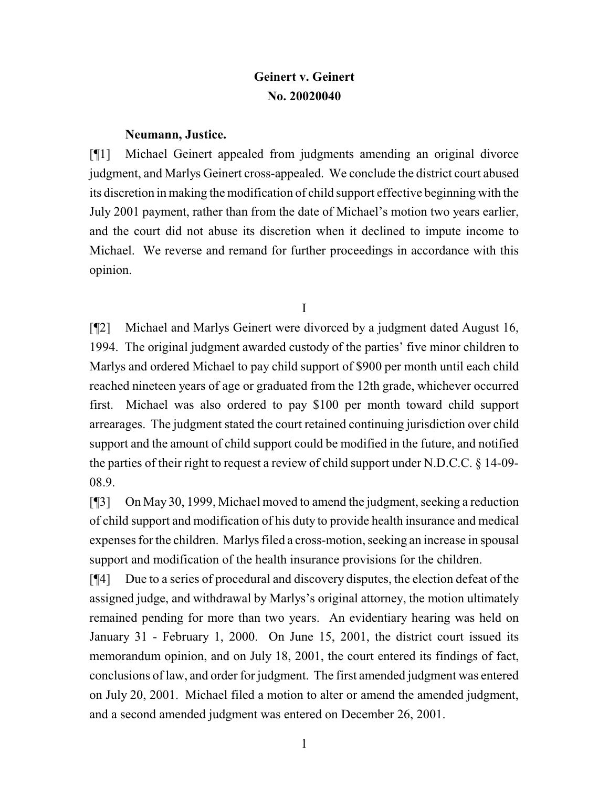# **Geinert v. Geinert [No. 20020040](http://www.ndcourts.gov/supreme-court/dockets/20020040)**

# **Neumann, Justice.**

[¶1] Michael Geinert appealed from judgments amending an original divorce judgment, and Marlys Geinert cross-appealed. We conclude the district court abused its discretion in making the modification of child support effective beginning with the July 2001 payment, rather than from the date of Michael's motion two years earlier, and the court did not abuse its discretion when it declined to impute income to Michael. We reverse and remand for further proceedings in accordance with this opinion.

I

[¶2] Michael and Marlys Geinert were divorced by a judgment dated August 16, 1994. The original judgment awarded custody of the parties' five minor children to Marlys and ordered Michael to pay child support of \$900 per month until each child reached nineteen years of age or graduated from the 12th grade, whichever occurred first. Michael was also ordered to pay \$100 per month toward child support arrearages. The judgment stated the court retained continuing jurisdiction over child support and the amount of child support could be modified in the future, and notified the parties of their right to request a review of child support under N.D.C.C. § 14-09- 08.9.

[¶3] On May 30, 1999, Michael moved to amend the judgment, seeking a reduction of child support and modification of his duty to provide health insurance and medical expenses for the children. Marlys filed a cross-motion, seeking an increase in spousal support and modification of the health insurance provisions for the children.

[¶4] Due to a series of procedural and discovery disputes, the election defeat of the assigned judge, and withdrawal by Marlys's original attorney, the motion ultimately remained pending for more than two years. An evidentiary hearing was held on January 31 - February 1, 2000. On June 15, 2001, the district court issued its memorandum opinion, and on July 18, 2001, the court entered its findings of fact, conclusions of law, and order for judgment. The first amended judgment was entered on July 20, 2001. Michael filed a motion to alter or amend the amended judgment, and a second amended judgment was entered on December 26, 2001.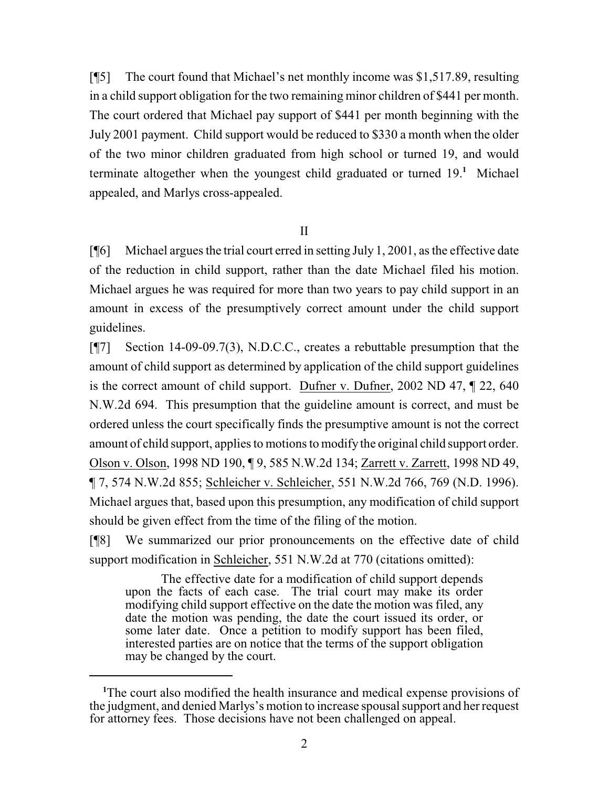[¶5] The court found that Michael's net monthly income was \$1,517.89, resulting in a child support obligation for the two remaining minor children of \$441 per month. The court ordered that Michael pay support of \$441 per month beginning with the July 2001 payment. Child support would be reduced to \$330 a month when the older of the two minor children graduated from high school or turned 19, and would terminate altogether when the youngest child graduated or turned 19.**<sup>1</sup>** Michael appealed, and Marlys cross-appealed.

### II

[¶6] Michael argues the trial court erred in setting July 1, 2001, as the effective date of the reduction in child support, rather than the date Michael filed his motion. Michael argues he was required for more than two years to pay child support in an amount in excess of the presumptively correct amount under the child support guidelines.

[¶7] Section 14-09-09.7(3), N.D.C.C., creates a rebuttable presumption that the amount of child support as determined by application of the child support guidelines is the correct amount of child support. Dufner v. Dufner, [2002 ND 47,](http://www.ndcourts.gov/supreme-court/opinion/2002ND47) ¶ 22, [640](http://www.ndcourts.gov/supreme-court/opinion/640NW2d694) [N.W.2d](http://www.ndcourts.gov/supreme-court/opinion/640NW2d694) 694. This presumption that the guideline amount is correct, and must be ordered unless the court specifically finds the presumptive amount is not the correct amount of child support, applies to motions to modify the original child support order. Olson v. Olson, [1998 ND 190,](http://www.ndcourts.gov/supreme-court/opinion/1998ND190) ¶ 9, [585 N.W.2d 134;](http://www.ndcourts.gov/supreme-court/opinion/585NW2d134) Zarrett v. Zarrett, [1998 ND 49,](http://www.ndcourts.gov/supreme-court/opinion/1998ND49) ¶ 7, [574 N.W.2d](http://www.ndcourts.gov/supreme-court/opinion/574NW2d855) 855; Schleicher v. Schleicher, [551 N.W.2d 766,](http://www.ndcourts.gov/supreme-court/opinion/551NW2d766) 769 (N.D. 1996). Michael argues that, based upon this presumption, any modification of child support should be given effect from the time of the filing of the motion.

[¶8] We summarized our prior pronouncements on the effective date of child support modification in Schleicher, 551 N.W.2d at 770 (citations omitted):

The effective date for a modification of child support depends upon the facts of each case. The trial court may make its order modifying child support effective on the date the motion was filed, any date the motion was pending, the date the court issued its order, or some later date. Once a petition to modify support has been filed, interested parties are on notice that the terms of the support obligation may be changed by the court.

**<sup>1</sup>**The court also modified the health insurance and medical expense provisions of the judgment, and denied Marlys's motion to increase spousal support and her request for attorney fees. Those decisions have not been challenged on appeal.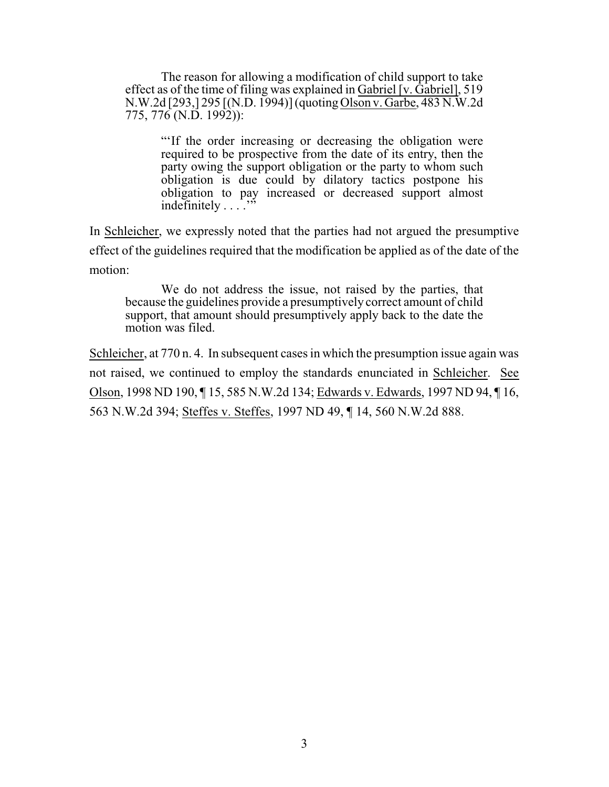The reason for allowing a modification of child support to take effect as of the time of filing was explained in Gabriel [v. Gabriel], 519 N.W.2d [293,] 295 [(N.D. 1994)] (quoting Olson v. Garbe, [483 N.W.2d](http://www.ndcourts.gov/supreme-court/opinion/483NW2d775)  $775, 776$  $775, 776$  (N.D. 1992)):

> "'If the order increasing or decreasing the obligation were required to be prospective from the date of its entry, then the party owing the support obligation or the party to whom such obligation is due could by dilatory tactics postpone his obligation to pay increased or decreased support almost indefinitely  $\ldots$ .

In Schleicher, we expressly noted that the parties had not argued the presumptive effect of the guidelines required that the modification be applied as of the date of the motion:

We do not address the issue, not raised by the parties, that because the guidelines provide a presumptively correct amount of child support, that amount should presumptively apply back to the date the motion was filed.

Schleicher, at 770 n. 4. In subsequent cases in which the presumption issue again was not raised, we continued to employ the standards enunciated in Schleicher. See Olson, [1998 ND 190,](http://www.ndcourts.gov/supreme-court/opinion/1998ND190) ¶ 15, [585 N.W.2d 134;](http://www.ndcourts.gov/supreme-court/opinion/585NW2d134) Edwards v. Edwards, [1997 ND 94,](http://www.ndcourts.gov/supreme-court/opinion/1997ND94) ¶ 16, 563 N.W.2d 394; Steffes v. Steffes, [1997 ND 49,](http://www.ndcourts.gov/supreme-court/opinion/1997ND49) ¶ 14, 560 N.W.2d 888.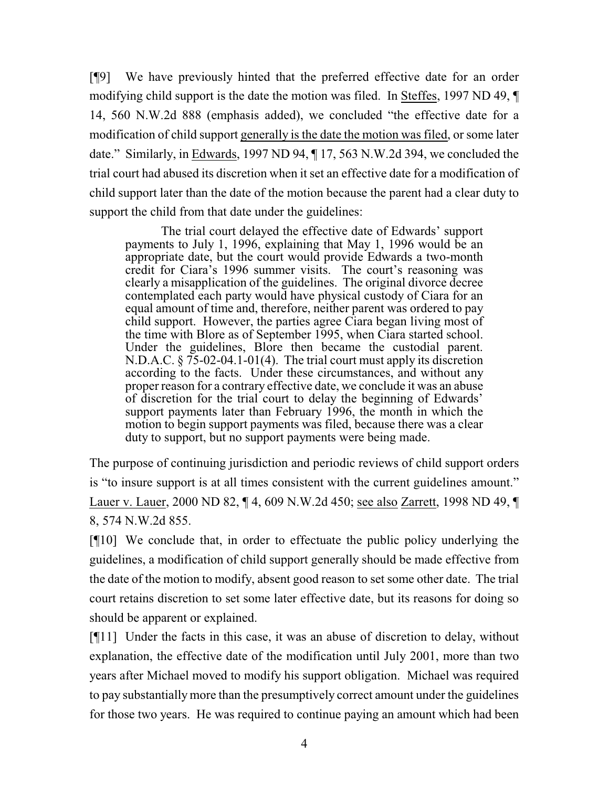[¶9] We have previously hinted that the preferred effective date for an order modifying child support is the date the motion was filed. In Steffes, [1997 ND 49,](http://www.ndcourts.gov/supreme-court/opinion/1997ND49) ¶ 14, 560 N.W.2d 888 (emphasis added), we concluded "the effective date for a modification of child support generally is the date the motion was filed, or some later date." Similarly, in Edwards, [1997 ND 94,](http://www.ndcourts.gov/supreme-court/opinion/1997ND94) ¶ 17, 563 N.W.2d 394, we concluded the trial court had abused its discretion when it set an effective date for a modification of child support later than the date of the motion because the parent had a clear duty to support the child from that date under the guidelines:

The trial court delayed the effective date of Edwards' support payments to July 1, 1996, explaining that May 1, 1996 would be an appropriate date, but the court would provide Edwards a two-month credit for Ciara's 1996 summer visits. The court's reasoning was clearly a misapplication of the guidelines. The original divorce decree contemplated each party would have physical custody of Ciara for an equal amount of time and, therefore, neither parent was ordered to pay child support. However, the parties agree Ciara began living most of the time with Blore as of September 1995, when Ciara started school. Under the guidelines, Blore then became the custodial parent. N.D.A.C. § 75-02-04.1-01(4). The trial court must apply its discretion according to the facts. Under these circumstances, and without any proper reason for a contrary effective date, we conclude it was an abuse of discretion for the trial court to delay the beginning of Edwards' support payments later than February 1996, the month in which the motion to begin support payments was filed, because there was a clear duty to support, but no support payments were being made.

The purpose of continuing jurisdiction and periodic reviews of child support orders is "to insure support is at all times consistent with the current guidelines amount." Lauer v. Lauer, [2000 ND 82,](http://www.ndcourts.gov/supreme-court/opinion/2000ND82) ¶ 4, [609 N.W.2d 450;](http://www.ndcourts.gov/supreme-court/opinion/609NW2d450) see also Zarrett, [1998 ND 49,](http://www.ndcourts.gov/supreme-court/opinion/1998ND49) ¶ 8, [574 N.W.2d 855.](http://www.ndcourts.gov/supreme-court/opinion/574NW2d855)

[¶10] We conclude that, in order to effectuate the public policy underlying the guidelines, a modification of child support generally should be made effective from the date of the motion to modify, absent good reason to set some other date. The trial court retains discretion to set some later effective date, but its reasons for doing so should be apparent or explained.

[¶11] Under the facts in this case, it was an abuse of discretion to delay, without explanation, the effective date of the modification until July 2001, more than two years after Michael moved to modify his support obligation. Michael was required to pay substantiallymore than the presumptively correct amount under the guidelines for those two years. He was required to continue paying an amount which had been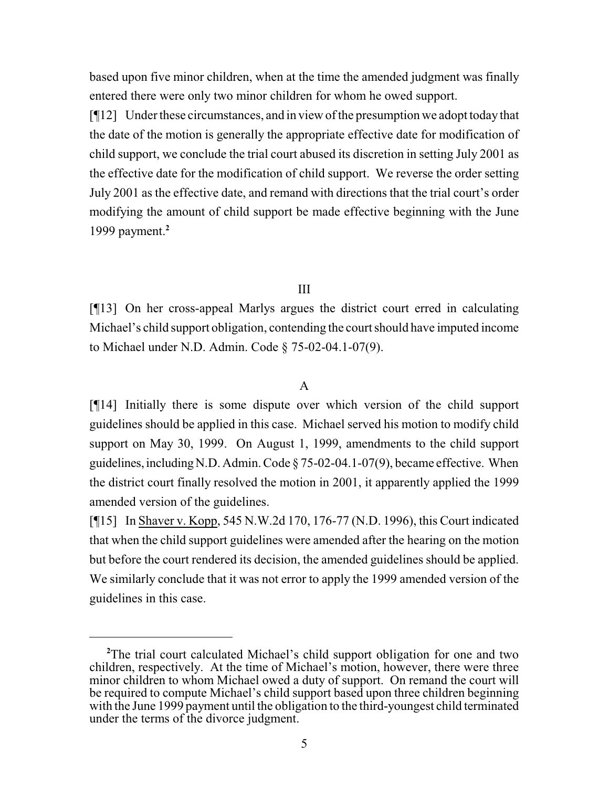based upon five minor children, when at the time the amended judgment was finally entered there were only two minor children for whom he owed support.

[¶12] Under these circumstances, and in view ofthe presumption we adopt today that the date of the motion is generally the appropriate effective date for modification of child support, we conclude the trial court abused its discretion in setting July 2001 as the effective date for the modification of child support. We reverse the order setting July 2001 as the effective date, and remand with directions that the trial court's order modifying the amount of child support be made effective beginning with the June 1999 payment.**<sup>2</sup>**

#### III

[¶13] On her cross-appeal Marlys argues the district court erred in calculating Michael's child support obligation, contending the court should have imputed income to Michael under N.D. Admin. Code § 75-02-04.1-07(9).

#### A

[¶14] Initially there is some dispute over which version of the child support guidelines should be applied in this case. Michael served his motion to modify child support on May 30, 1999. On August 1, 1999, amendments to the child support guidelines, including N.D. Admin. Code  $\S$  75-02-04.1-07(9), became effective. When the district court finally resolved the motion in 2001, it apparently applied the 1999 amended version of the guidelines.

[¶15] In Shaver v. Kopp, [545 N.W.2d 170,](http://www.ndcourts.gov/supreme-court/opinion/545NW2d170) 176-77 (N.D. 1996), this Court indicated that when the child support guidelines were amended after the hearing on the motion but before the court rendered its decision, the amended guidelines should be applied. We similarly conclude that it was not error to apply the 1999 amended version of the guidelines in this case.

**<sup>2</sup>**The trial court calculated Michael's child support obligation for one and two children, respectively. At the time of Michael's motion, however, there were three minor children to whom Michael owed a duty of support. On remand the court will be required to compute Michael's child support based upon three children beginning with the June 1999 payment until the obligation to the third-youngest child terminated under the terms of the divorce judgment.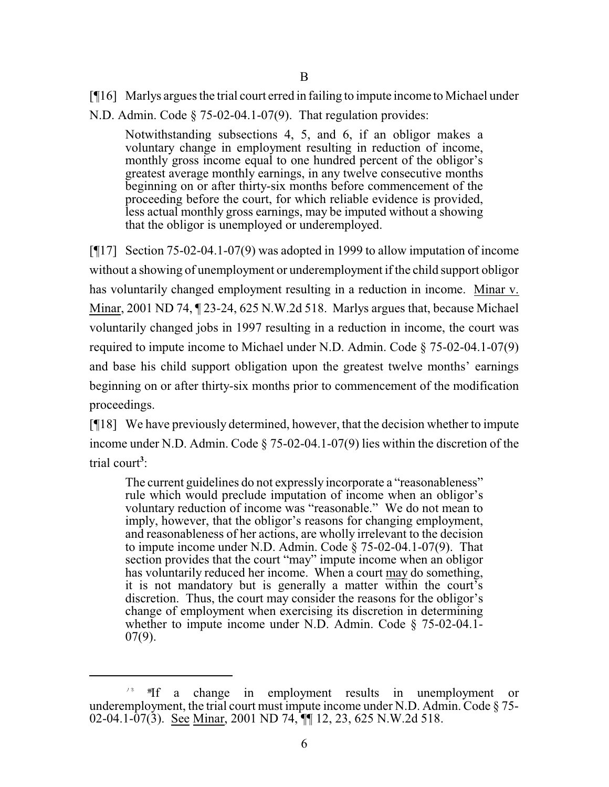[¶16] Marlys argues the trial court erred in failing to impute income to Michael under N.D. Admin. Code § 75-02-04.1-07(9). That regulation provides:

Notwithstanding subsections 4, 5, and 6, if an obligor makes a voluntary change in employment resulting in reduction of income, monthly gross income equal to one hundred percent of the obligor's greatest average monthly earnings, in any twelve consecutive months beginning on or after thirty-six months before commencement of the proceeding before the court, for which reliable evidence is provided, less actual monthly gross earnings, may be imputed without a showing that the obligor is unemployed or underemployed.

[¶17] Section 75-02-04.1-07(9) was adopted in 1999 to allow imputation of income without a showing of unemployment or underemployment if the child support obligor has voluntarily changed employment resulting in a reduction in income. Minar v. Minar, [2001 ND 74,](http://www.ndcourts.gov/supreme-court/opinion/2001ND74) ¶ 23-24, [625 N.W.2d 518.](http://www.ndcourts.gov/supreme-court/opinion/625NW2d518) Marlys argues that, because Michael voluntarily changed jobs in 1997 resulting in a reduction in income, the court was required to impute income to Michael under N.D. Admin. Code § 75-02-04.1-07(9) and base his child support obligation upon the greatest twelve months' earnings beginning on or after thirty-six months prior to commencement of the modification proceedings.

[¶18] We have previously determined, however, that the decision whether to impute income under N.D. Admin. Code § 75-02-04.1-07(9) lies within the discretion of the trial court**<sup>3</sup>** :

The current guidelines do not expressly incorporate a "reasonableness" rule which would preclude imputation of income when an obligor's voluntary reduction of income was "reasonable." We do not mean to imply, however, that the obligor's reasons for changing employment, and reasonableness of her actions, are wholly irrelevant to the decision to impute income under N.D. Admin. Code § 75-02-04.1-07(9). That section provides that the court "may" impute income when an obligor has voluntarily reduced her income. When a court may do something, it is not mandatory but is generally a matter within the court's discretion. Thus, the court may consider the reasons for the obligor's change of employment when exercising its discretion in determining whether to impute income under N.D. Admin. Code § 75-02-04.1- 07(9).

<sup>&</sup>lt;sup>/\*</sup>  $\mathbb{F}$  **f** a change in employment results in unemployment or underemployment, the trial court must impute income under N.D. Admin. Code § 75- 02-04.1-07(3). See Minar, [2001 ND 74,](http://www.ndcourts.gov/supreme-court/opinion/2001ND74)  $\P$  12, 23, [625 N.W.2d 518.](http://www.ndcourts.gov/supreme-court/opinion/625NW2d518)